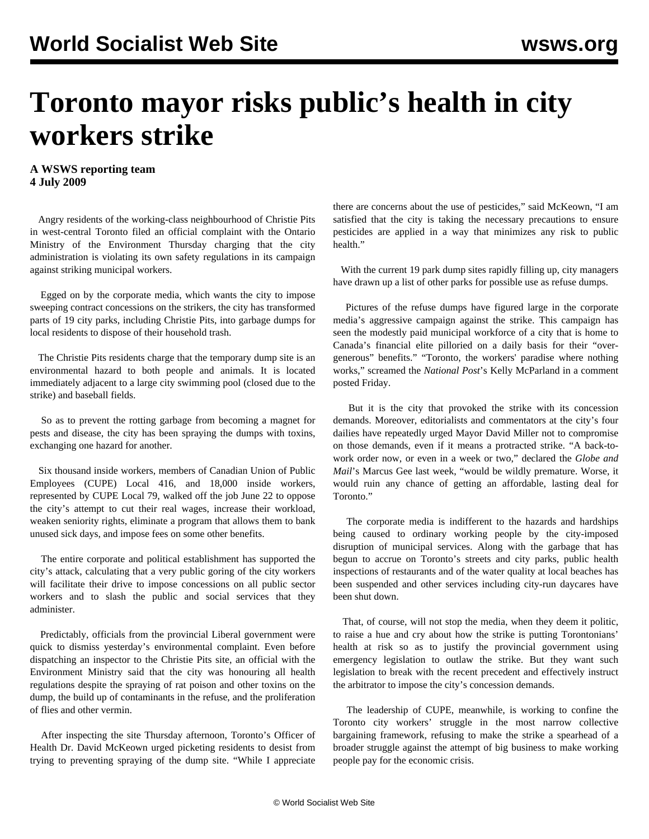## **Toronto mayor risks public's health in city workers strike**

## **A WSWS reporting team 4 July 2009**

 Angry residents of the working-class neighbourhood of Christie Pits in west-central Toronto filed an official complaint with the Ontario Ministry of the Environment Thursday charging that the city administration is violating its own safety regulations in its campaign against striking municipal workers.

 Egged on by the corporate media, which wants the city to impose sweeping contract concessions on the strikers, the city has transformed parts of 19 city parks, including Christie Pits, into garbage dumps for local residents to dispose of their household trash.

 The Christie Pits residents charge that the temporary dump site is an environmental hazard to both people and animals. It is located immediately adjacent to a large city swimming pool (closed due to the strike) and baseball fields.

 So as to prevent the rotting garbage from becoming a magnet for pests and disease, the city has been spraying the dumps with toxins, exchanging one hazard for another.

 Six thousand inside workers, members of Canadian Union of Public Employees (CUPE) Local 416, and 18,000 inside workers, represented by CUPE Local 79, walked off the job June 22 to oppose the city's attempt to cut their real wages, increase their workload, weaken seniority rights, eliminate a program that allows them to bank unused sick days, and impose fees on some other benefits.

 The entire corporate and political establishment has supported the city's attack, calculating that a very public goring of the city workers will facilitate their drive to impose concessions on all public sector workers and to slash the public and social services that they administer.

 Predictably, officials from the provincial Liberal government were quick to dismiss yesterday's environmental complaint. Even before dispatching an inspector to the Christie Pits site, an official with the Environment Ministry said that the city was honouring all health regulations despite the spraying of rat poison and other toxins on the dump, the build up of contaminants in the refuse, and the proliferation of flies and other vermin.

 After inspecting the site Thursday afternoon, Toronto's Officer of Health Dr. David McKeown urged picketing residents to desist from trying to preventing spraying of the dump site. "While I appreciate

there are concerns about the use of pesticides," said McKeown, "I am satisfied that the city is taking the necessary precautions to ensure pesticides are applied in a way that minimizes any risk to public health."

With the current 19 park dump sites rapidly filling up, city managers have drawn up a list of other parks for possible use as refuse dumps.

 Pictures of the refuse dumps have figured large in the corporate media's aggressive campaign against the strike. This campaign has seen the modestly paid municipal workforce of a city that is home to Canada's financial elite pilloried on a daily basis for their "overgenerous" benefits." "Toronto, the workers' paradise where nothing works," screamed the *National Post*'s Kelly McParland in a comment posted Friday.

 But it is the city that provoked the strike with its concession demands. Moreover, editorialists and commentators at the city's four dailies have repeatedly urged Mayor David Miller not to compromise on those demands, even if it means a protracted strike. "A back-towork order now, or even in a week or two," declared the *Globe and Mail*'s Marcus Gee last week, "would be wildly premature. Worse, it would ruin any chance of getting an affordable, lasting deal for Toronto."

 The corporate media is indifferent to the hazards and hardships being caused to ordinary working people by the city-imposed disruption of municipal services. Along with the garbage that has begun to accrue on Toronto's streets and city parks, public health inspections of restaurants and of the water quality at local beaches has been suspended and other services including city-run daycares have been shut down.

 That, of course, will not stop the media, when they deem it politic, to raise a hue and cry about how the strike is putting Torontonians' health at risk so as to justify the provincial government using emergency legislation to outlaw the strike. But they want such legislation to break with the recent precedent and effectively instruct the arbitrator to impose the city's concession demands.

 The leadership of CUPE, meanwhile, is working to confine the Toronto city workers' struggle in the most narrow collective bargaining framework, refusing to make the strike a spearhead of a broader struggle against the attempt of big business to make working people pay for the economic crisis.